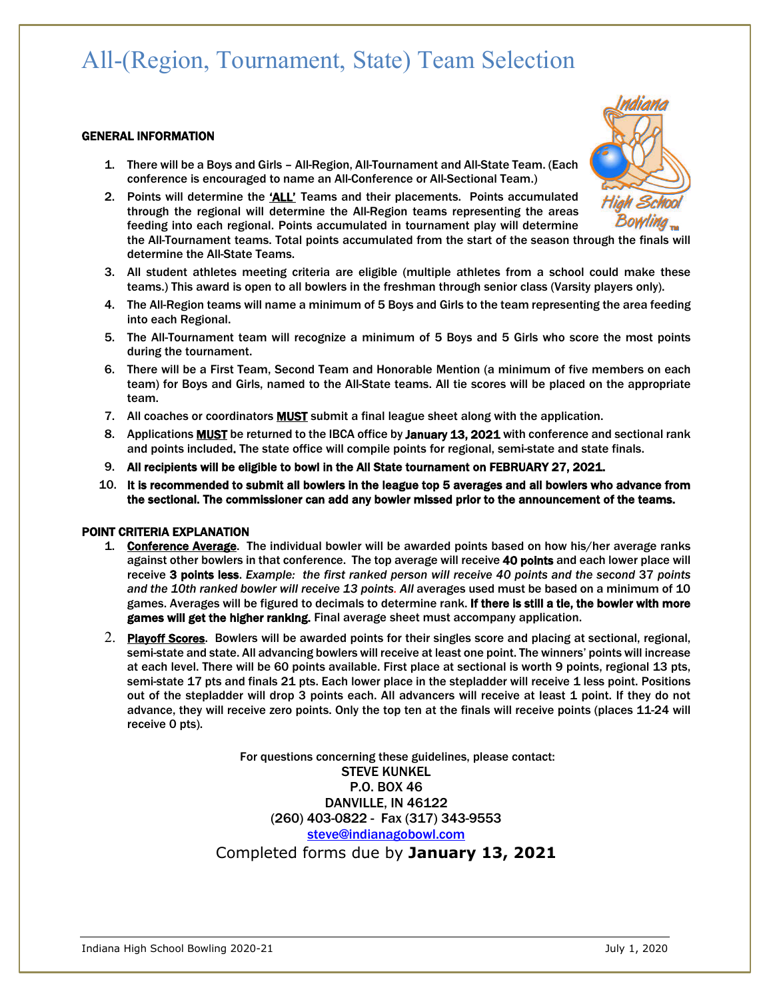# All-(Region, Tournament, State) Team Selection

#### GENERAL INFORMATION

- 1. There will be a Boys and Girls All-Region, All-Tournament and All-State Team. (Each conference is encouraged to name an All-Conference or All-Sectional Team.)
- 2. Points will determine the 'ALL' Teams and their placements. Points accumulated through the regional will determine the All-Region teams representing the areas feeding into each regional. Points accumulated in tournament play will determine the All-Tournament teams. Total points accumulated from the start of the season through the finals will determine the All-State Teams.
- 3. All student athletes meeting criteria are eligible (multiple athletes from a school could make these teams.) This award is open to all bowlers in the freshman through senior class (Varsity players only).
- 4. The All-Region teams will name a minimum of 5 Boys and Girls to the team representing the area feeding into each Regional.
- 5. The All-Tournament team will recognize a minimum of 5 Boys and 5 Girls who score the most points during the tournament.
- 6. There will be a First Team, Second Team and Honorable Mention (a minimum of five members on each team) for Boys and Girls, named to the All-State teams. All tie scores will be placed on the appropriate team.
- 7. All coaches or coordinators **MUST** submit a final league sheet along with the application.
- 8. Applications MUST be returned to the IBCA office by January 13, 2021 with conference and sectional rank and points included. The state office will compile points for regional, semi-state and state finals.
- 9. All recipients will be eligible to bowl in the All State tournament on FEBRUARY 27, 2021.
- 10. It is recommended to submit all bowlers in the league top 5 averages and all bowlers who advance from the sectional. The commissioner can add any bowler missed prior to the announcement of the teams.

### POINT CRITERIA EXPLANATION

- 1. Conference Average. The individual bowler will be awarded points based on how his/her average ranks against other bowlers in that conference. The top average will receive 40 points and each lower place will receive 3 points less. *Example: the first ranked person will receive 40 points and the second* 37 *points and the 10th ranked bowler will receive 13 points. All* averages used must be based on a minimum of 10 games. Averages will be figured to decimals to determine rank. If there is still a tie, the bowler with more games will get the higher ranking. Final average sheet must accompany application.
- 2. Playoff Scores. Bowlers will be awarded points for their singles score and placing at sectional, regional, semi-state and state. All advancing bowlers will receive at least one point. The winners' points will increase at each level. There will be 60 points available. First place at sectional is worth 9 points, regional 13 pts, semi-state 17 pts and finals 21 pts. Each lower place in the stepladder will receive 1 less point. Positions out of the stepladder will drop 3 points each. All advancers will receive at least 1 point. If they do not advance, they will receive zero points. Only the top ten at the finals will receive points (places 11-24 will receive 0 pts).

For questions concerning these guidelines, please contact: STEVE KUNKEL P.O. BOX 46 DANVILLE, IN 46122 (260) 403-0822 - Fax (317) 343-9553 steve@indianagobowl.com Completed forms due by **January 13, 2021**